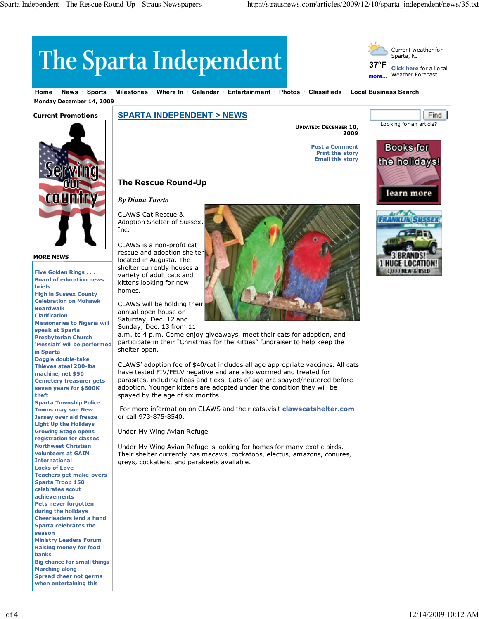**37°F more...**

# The Sparta Independent

**Home News Sports Milestones Where In Calendar Entertainment Photos Classifieds Local Business Search Monday December 14, 2009**

### **Current Promotions**



#### **MORE NEWS**

**Five Golden Rings . . . Board of education news briefs High in Sussex County Celebration on Mohawk Boardwalk Clarification Missionaries to Nigeria will speak at Sparta Presbyterian Church 'Messiah' will be performed in Sparta Doggie double-take Thieves steal 200-lbs machine, net \$50 Cemetery treasurer gets seven years for \$600K theft Sparta Township Police Towns may sue New Jersey over aid freeze Light Up the Holidays Growing Stage opens registration for classes Northwest Christian volunteers at GAIN International Locks of Love Teachers get make-overs Sparta Troop 150 celebrates scout achievements Pets never forgotten during the holidays Cheerleaders lend a hand Sparta celebrates the season Ministry Leaders Forum Raising money for food banks Big chance for small things Marching along Spread cheer not germs when entertaining this**

## **SPARTA INDEPENDENT > NEWS**

**UPDATED: DECEMBER 10, 2009**

> **Post a Comment Print this story Email this story**



Looking for an article?

Current weather for Sparta, NJ

**Click here** for a Local Weather Forecast

Find



## **The Rescue Round-Up**

*By Diana Tuorto*

CLAWS Cat Rescue & Adoption Shelter of Sussex, Inc.

CLAWS is a non-profit cat rescue and adoption shelter located in Augusta. The shelter currently houses a variety of adult cats and kittens looking for new homes.

CLAWS will be holding their annual open house on Saturday, Dec. 12 and

Sunday, Dec. 13 from 11



a.m. to 4 p.m. Come enjoy giveaways, meet their cats for adoption, and participate in their "Christmas for the Kitties" fundraiser to help keep the shelter open.

CLAWS' adoption fee of \$40/cat includes all age appropriate vaccines. All cats have tested FIV/FELV negative and are also wormed and treated for parasites, including fleas and ticks. Cats of age are spayed/neutered before adoption. Younger kittens are adopted under the condition they will be spayed by the age of six months.

For more information on CLAWS and their cats,visit **clawscatshelter.com** or call 973-875-8540.

Under My Wing Avian Refuge

Under My Wing Avian Refuge is looking for homes for many exotic birds. Their shelter currently has macaws, cockatoos, electus, amazons, conures, greys, cockatiels, and parakeets available.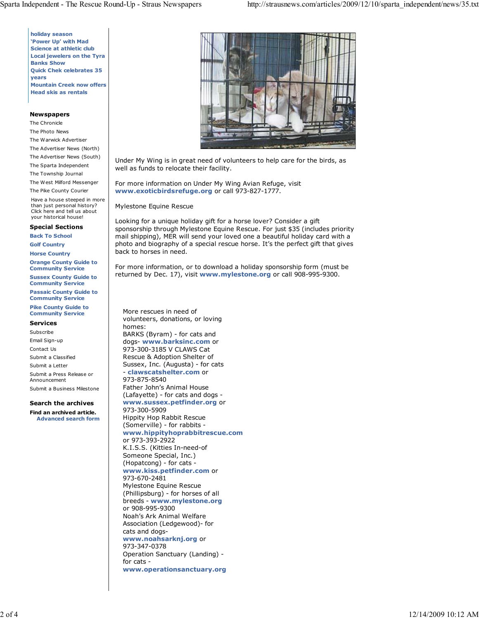**holiday season 'Power Up' with Mad Science at athletic club Local jewelers on the Tyra Banks Show Quick Chek celebrates 35 years Mountain Creek now offers Head skis as rentals**

#### **Newspapers**

The Chronicle The Photo News The Warwick Advertiser The Advertiser News (North) The Advertiser News (South)

- The Sparta Independent
- The Township Journal

The West Milford Messenger The Pike County Courier

Have a house steeped in more than just personal history? Click here and tell us about your historical house!

#### **Special Sections**

**Back To School**

**Golf Country**

**Horse Country**

**Orange County Guide to Community Service**

**Sussex County Guide to Community Service**

**Passaic County Guide to Community Service**

#### **Pike County Guide to Community Service**

#### **Services**

Subscribe Email Sign-up Contact Us

Submit a Classified

Submit a Letter

Submit a Press Release or Announcement Submit a Business Milestone

#### **Search the archives**

**Find an archived article. Advanced search form**



Under My Wing is in great need of volunteers to help care for the birds, as well as funds to relocate their facility.

For more information on Under My Wing Avian Refuge, visit **www.exoticbirdsrefuge.org** or call 973-827-1777.

Mylestone Equine Rescue

Looking for a unique holiday gift for a horse lover? Consider a gift sponsorship through Mylestone Equine Rescue. For just \$35 (includes priority mail shipping), MER will send your loved one a beautiful holiday card with a photo and biography of a special rescue horse. It's the perfect gift that gives back to horses in need.

For more information, or to download a holiday sponsorship form (must be returned by Dec. 17), visit **www.mylestone.org** or call 908-995-9300.

More rescues in need of volunteers, donations, or loving homes: BARKS (Byram) - for cats and dogs- **www.barksinc.com** or 973-300-3185 V CLAWS Cat Rescue & Adoption Shelter of Sussex, Inc. (Augusta) - for cats - **clawscatshelter.com** or 973-875-8540 Father John's Animal House (Lafayette) - for cats and dogs **www.sussex.petfinder.org** or 973-300-5909 Hippity Hop Rabbit Rescue (Somerville) - for rabbits **www.hippityhoprabbitrescue.com** or 973-393-2922 K.I.S.S. (Kitties In-need-of Someone Special, Inc.) (Hopatcong) - for cats **www.kiss.petfinder.com** or 973-670-2481 Mylestone Equine Rescue (Phillipsburg) - for horses of all breeds - **www.mylestone.org** or 908-995-9300 Noah's Ark Animal Welfare Association (Ledgewood)- for cats and dogs**www.noahsarknj.org** or 973-347-0378 Operation Sanctuary (Landing) for cats **www.operationsanctuary.org**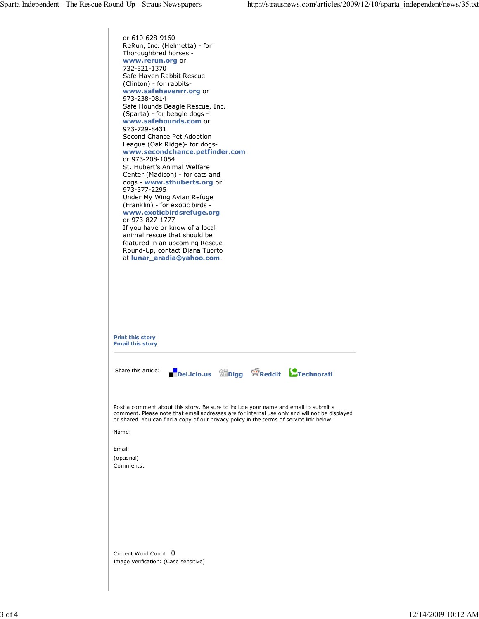or 610-628-9160 ReRun, Inc. (Helmetta) - for Thoroughbred horses **www.rerun.org** or 732-521-1370 Safe Haven Rabbit Rescue (Clinton) - for rabbits**www.safehavenrr.org** or 973-238-0814 Safe Hounds Beagle Rescue, Inc. (Sparta) - for beagle dogs **www.safehounds.com** or 973-729-8431 Second Chance Pet Adoption League (Oak Ridge)- for dogs**www.secondchance.petfinder.com** or 973-208-1054 St. Hubert's Animal Welfare Center (Madison) - for cats and dogs - **www.sthuberts.org** or 973-377-2295 Under My Wing Avian Refuge (Franklin) - for exotic birds **www.exoticbirdsrefuge.org** or 973-827-1777 If you have or know of a local animal rescue that should be featured in an upcoming Rescue Round-Up, contact Diana Tuorto at **lunar\_aradia@yahoo.com**. **Print this story Email this story** Share this article: **Del.icio.us Digg Reddit Technorati** Post a comment about this story. Be sure to include your name and email to submit a comment. Please note that email addresses are for internal use only and will not be displayed or shared. You can find a copy of our privacy policy in the terms of service link below. Name: Email: (optional) Comments: Current Word Count: Image Verification: (Case sensitive)